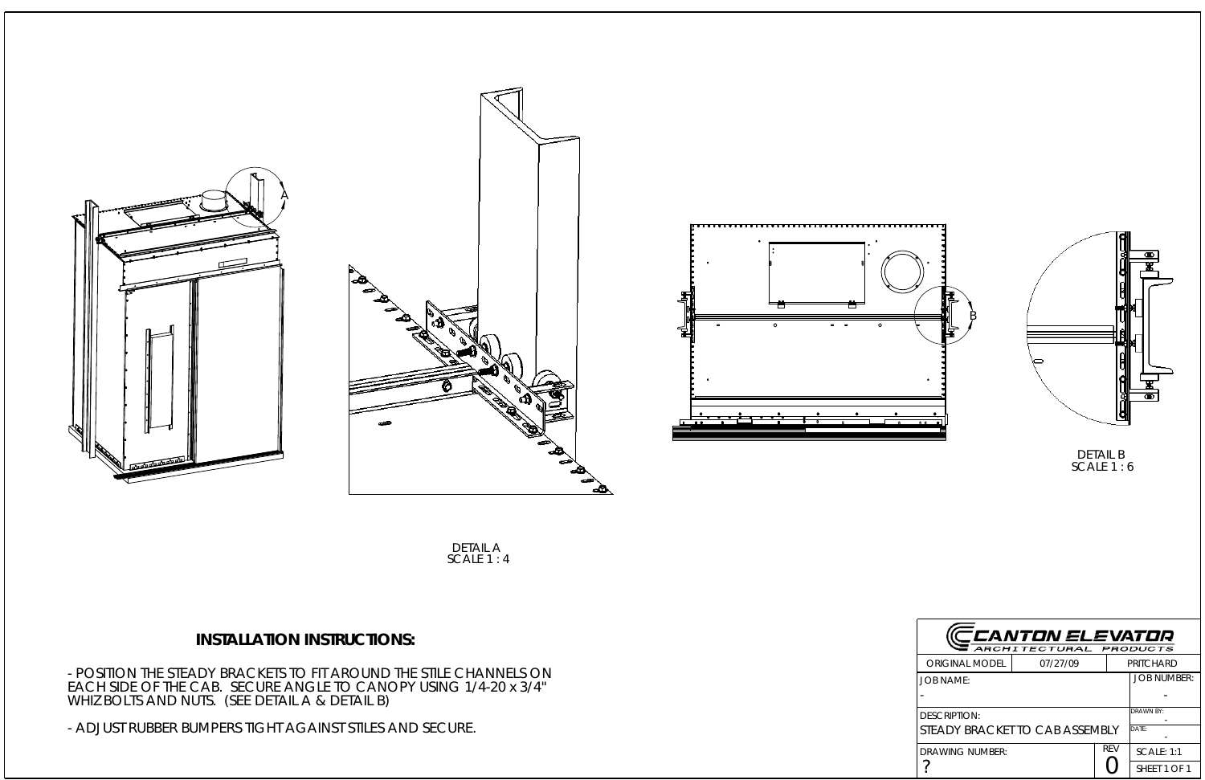





- ADJUST RUBBER BUMPERS TIGHT AGAINST STILES AND SECURE.



- POSITION THE STEADY BRACKETS TO FIT AROUND THE STILE CHANNELS ON EACH SIDE OF THE CAB. SECURE ANGLE TO CANOPY USING 1/4-20 x 3/4" WHIZ BOLTS AND NUTS. (SEE DETAIL A & DETAIL B)

## **INSTALLATION INSTRUCTIONS:**

DETAIL A SCALE 1 : 4